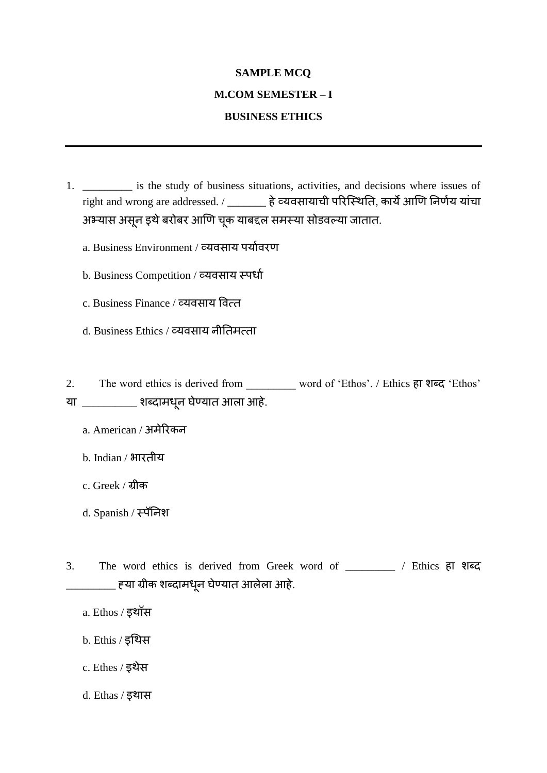## **SAMPLE MCQ**

## **M.COM SEMESTER – I**

## **BUSINESS ETHICS**

1.  $\qquad$  is the study of business situations, activities, and decisions where issues of right and wrong are addressed. /  $\_\_\_\_$ है व्यवसायाची परिस्थिति, कार्ये आणि निर्णय यांचा अभ्यास असून इथे बरोबर आणि चूक याबद्दल समस्या सोडवल्या जातात.

a. Business Environment / व्यवसाय पर्यावरण

b. Business Competition / व्यवसाय स्पर्धा

c. Business Finance / व्यवसाय वित्त

d. Business Ethics / व्यवसाय नीतिमत्ता

2. The word ethics is derived from \_\_\_\_\_\_\_\_\_ word of 'Ethos'. / Ethics षा ऴब्द 'Ethos' या  $\frac{1}{2}$  था  $\frac{1}{2}$ शब्दामधून घेण्यात आला आहे.

- a. American / अमेररकि
- b. Indian / भारिीय

c. Greek / ग्रीक

- d. Spanish / स्पॅनिश
- 3. The word ethics is derived from Greek word of \_\_\_\_\_\_\_\_\_ / Ethics षा ऴब्द  $\_$  ह्या ग्रीक शब्दामधून घेण्यात आलेला आहे.
	- a. Ethos / इथॉस
	- b. Ethis / इथिश
	- c. Ethes / इिेश
	- d. Ethas / इथास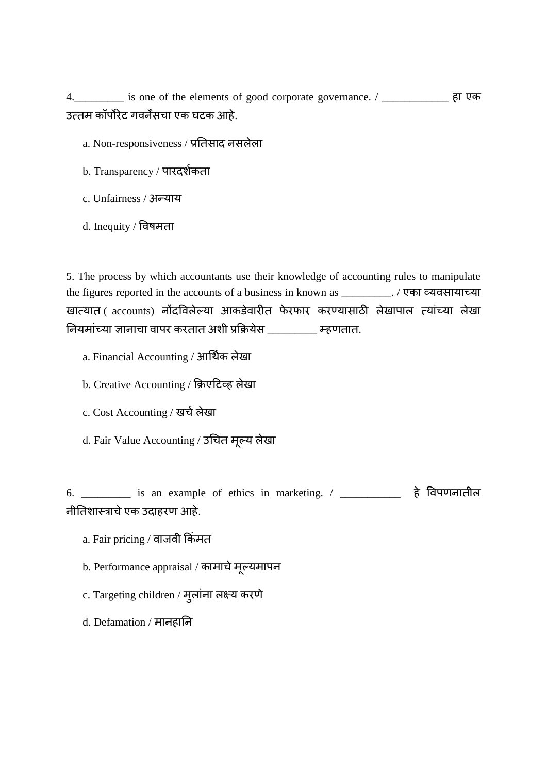4.\_\_\_\_\_\_\_\_\_ is one of the elements of good corporate governance. / \_\_\_\_\_\_\_\_\_\_\_\_ षा एक उत्तम कॉर्पोरेट गवर्नेंसचा एक घटक आहे.

- a. Non-responsiveness / प्रतिसाद नसलेला
- b. Transparency / पारदर्शकता
- c. Unfairness / अन्याय
- d. Inequity / विषमता

5. The process by which accountants use their knowledge of accounting rules to manipulate the figures reported in the accounts of a business in known as \_\_\_\_\_\_\_\_\_. / एका व्यळशायाच्या खात्यात ( accounts) नोंदविलेल्या आकडेवारीत फेरफार करण्यासाठी लेखापाल त्यांच्या लेखा त्रियमांच्या ज्ञानाचा वापर करतात अशी प्रक्रियेस \_\_\_\_\_\_\_\_ म्हणतात.

- a. Financial Accounting / आर्थिक लेखा
- b. Creative Accounting / क्रिएटटव्ष ऱेखा
- c. Cost Accounting / खर्च लेखा
- d. Fair Value Accounting / उचित मूल्य लेखा

 $6.$  \_\_\_\_\_\_\_\_\_\_\_ is an example of ethics in marketing.  $\frac{1}{2}$  \_\_\_\_\_\_\_\_\_\_\_\_\_\_ हे विपणनातील नीतिशास्त्राचे एक उदाहरण आहे.

- a. Fair pricing / वाजवी किंमत
- b. Performance appraisal / कामाचे मूल्यमापन
- c. Targeting children / मुलांना लक्ष्य करणे
- d. Defamation / मानहानि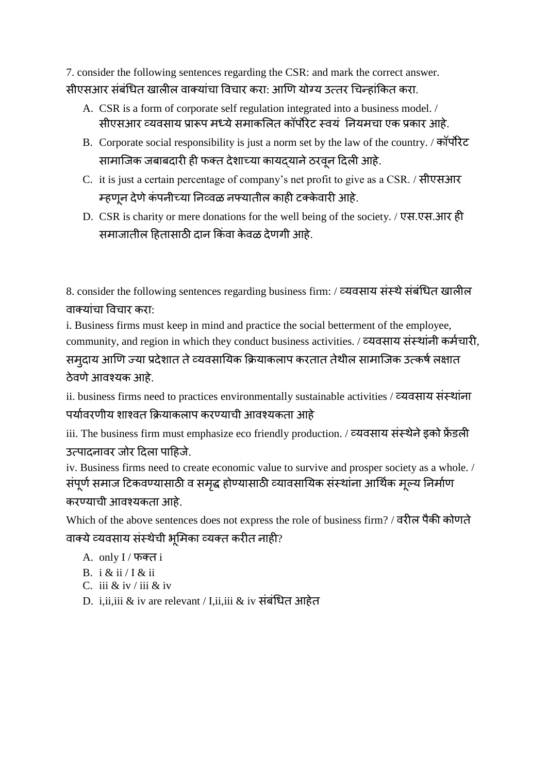7. consider the following sentences regarding the CSR: and mark the correct answer. सीएसआर संबंधित खालील वाक्यांचा विचार करा: आणि योग्य उत्तर चिन्हांकित करा.

- A. CSR is a form of corporate self regulation integrated into a business model. / सीएसआर व्यवसाय प्रारूप मध्ये समाकलित कॉर्पोरेट स्वयं नियमचा एक प्रकार आहे.
- B. Corporate social responsibility is just a norm set by the law of the country. / कॉपोरेट सामाजिक जबाबदारी ही फक्त देशाच्या कायदयाने ठरवन दिली आहे.
- C. it is just a certain percentage of company's net profit to give as a CSR. / शीएशआर म्हणून देणे कंपनीच्या निव्वळ नफ्यातील काही टक्केवारी आहे.
- D. CSR is charity or mere donations for the well being of the society. / एश.एश.आर षी समाजातील हितासाठी दान किंवा केवळ देणगी आहे.

8. consider the following sentences regarding business firm: / व्यवसाय संस्थे संबंधित खालील वाक्यांचा विचार करा:

i. Business firms must keep in mind and practice the social betterment of the employee, community, and region in which they conduct business activities. / व्यवसाय संस्थांनी कर्मचारी,

समुदाय आणि ज्या प्रदेशात ते व्यवसायिक क्रियाकलाप करतात तेथील सामाजिक उत्कर्ष लक्षात ठेवणे आवश्यक आहे.

ii. business firms need to practices environmentally sustainable activities / व्यवसाय संस्थांना पर्यावरणीय शाश्वत क्रियाकलाप करण्याची आवश्यकता आहे

iii. The business firm must emphasize eco friendly production. / व्यवसाय संस्थेने इको फ्रेंडली उत्पादनावर जोर दिला पाहिजे.

iv. Business firms need to create economic value to survive and prosper society as a whole. / संपूर्ण समाज टिकवण्यासाठी व समृद्ध होण्यासाठी व्यावसायिक संस्थांना आर्थिक मूल्य निर्माण करण्याची आवश्यकता आहे.

Which of the above sentences does not express the role of business firm? / वरील पैकी कोणते वाक्ये व्यवसाय संस्थेची भूमिका व्यक्त करीत नाही?

- A. only I / फक्त i
- B. i & ii / I & ii
- C. iii  $&$  iv / iii  $&$  iv
- D. i,ii,iii & iv are relevant / I,ii,iii & iv संबंधित आहेत